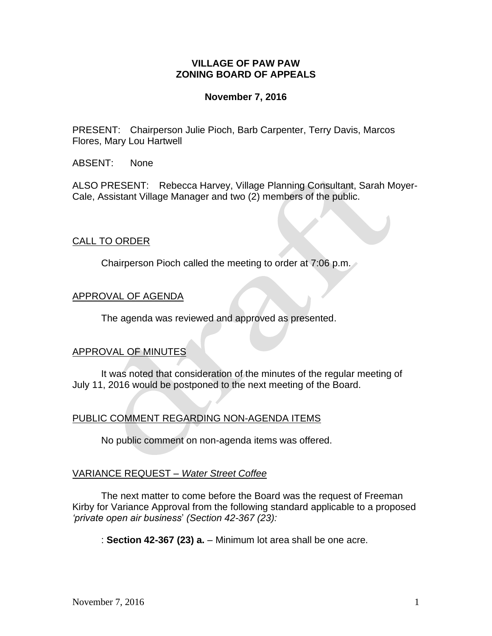## **VILLAGE OF PAW PAW ZONING BOARD OF APPEALS**

#### **November 7, 2016**

PRESENT: Chairperson Julie Pioch, Barb Carpenter, Terry Davis, Marcos Flores, Mary Lou Hartwell

ABSENT: None

ALSO PRESENT: Rebecca Harvey, Village Planning Consultant, Sarah Moyer-Cale, Assistant Village Manager and two (2) members of the public.

## CALL TO ORDER

Chairperson Pioch called the meeting to order at 7:06 p.m.

## APPROVAL OF AGENDA

The agenda was reviewed and approved as presented.

## APPROVAL OF MINUTES

It was noted that consideration of the minutes of the regular meeting of July 11, 2016 would be postponed to the next meeting of the Board.

## PUBLIC COMMENT REGARDING NON-AGENDA ITEMS

No public comment on non-agenda items was offered.

## VARIANCE REQUEST *– Water Street Coffee*

The next matter to come before the Board was the request of Freeman Kirby for Variance Approval from the following standard applicable to a proposed *'private open air business*' *(Section 42-367 (23):*

: **Section 42-367 (23) a.** – Minimum lot area shall be one acre.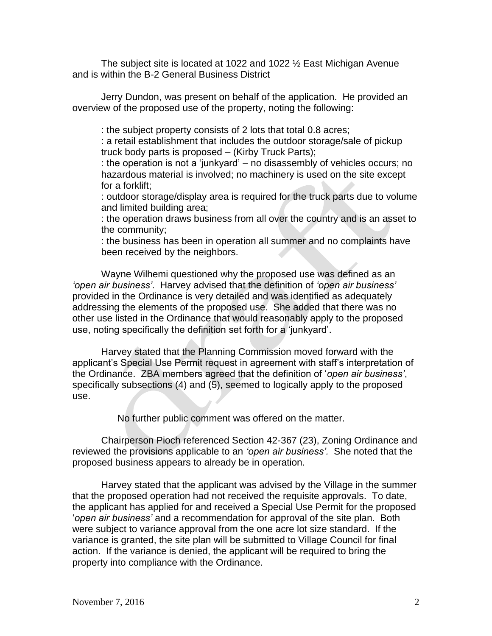The subject site is located at 1022 and 1022 ½ East Michigan Avenue and is within the B-2 General Business District

Jerry Dundon, was present on behalf of the application. He provided an overview of the proposed use of the property, noting the following:

: the subject property consists of 2 lots that total 0.8 acres;

: a retail establishment that includes the outdoor storage/sale of pickup truck body parts is proposed – (Kirby Truck Parts);

: the operation is not a 'junkyard' – no disassembly of vehicles occurs; no hazardous material is involved; no machinery is used on the site except for a forklift;

: outdoor storage/display area is required for the truck parts due to volume and limited building area;

: the operation draws business from all over the country and is an asset to the community;

: the business has been in operation all summer and no complaints have been received by the neighbors.

Wayne Wilhemi questioned why the proposed use was defined as an *'open air business'*. Harvey advised that the definition of *'open air business'* provided in the Ordinance is very detailed and was identified as adequately addressing the elements of the proposed use. She added that there was no other use listed in the Ordinance that would reasonably apply to the proposed use, noting specifically the definition set forth for a 'junkyard'.

Harvey stated that the Planning Commission moved forward with the applicant's Special Use Permit request in agreement with staff's interpretation of the Ordinance. ZBA members agreed that the definition of '*open air business'*, specifically subsections (4) and (5), seemed to logically apply to the proposed use.

No further public comment was offered on the matter.

Chairperson Pioch referenced Section 42-367 (23), Zoning Ordinance and reviewed the provisions applicable to an *'open air business'.* She noted that the proposed business appears to already be in operation.

Harvey stated that the applicant was advised by the Village in the summer that the proposed operation had not received the requisite approvals. To date, the applicant has applied for and received a Special Use Permit for the proposed '*open air business'* and a recommendation for approval of the site plan. Both were subject to variance approval from the one acre lot size standard. If the variance is granted, the site plan will be submitted to Village Council for final action. If the variance is denied, the applicant will be required to bring the property into compliance with the Ordinance.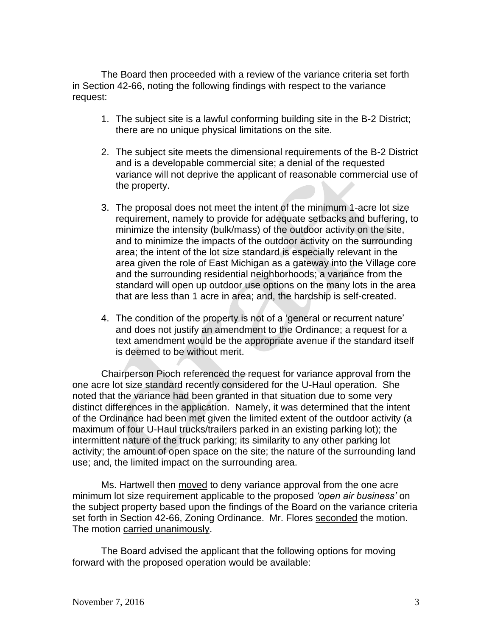The Board then proceeded with a review of the variance criteria set forth in Section 42-66, noting the following findings with respect to the variance request:

- 1. The subject site is a lawful conforming building site in the B-2 District; there are no unique physical limitations on the site.
- 2. The subject site meets the dimensional requirements of the B-2 District and is a developable commercial site; a denial of the requested variance will not deprive the applicant of reasonable commercial use of the property.
- 3. The proposal does not meet the intent of the minimum 1-acre lot size requirement, namely to provide for adequate setbacks and buffering, to minimize the intensity (bulk/mass) of the outdoor activity on the site, and to minimize the impacts of the outdoor activity on the surrounding area; the intent of the lot size standard is especially relevant in the area given the role of East Michigan as a gateway into the Village core and the surrounding residential neighborhoods; a variance from the standard will open up outdoor use options on the many lots in the area that are less than 1 acre in area; and, the hardship is self-created.
- 4. The condition of the property is not of a 'general or recurrent nature' and does not justify an amendment to the Ordinance; a request for a text amendment would be the appropriate avenue if the standard itself is deemed to be without merit.

Chairperson Pioch referenced the request for variance approval from the one acre lot size standard recently considered for the U-Haul operation. She noted that the variance had been granted in that situation due to some very distinct differences in the application. Namely, it was determined that the intent of the Ordinance had been met given the limited extent of the outdoor activity (a maximum of four U-Haul trucks/trailers parked in an existing parking lot); the intermittent nature of the truck parking; its similarity to any other parking lot activity; the amount of open space on the site; the nature of the surrounding land use; and, the limited impact on the surrounding area.

Ms. Hartwell then moved to deny variance approval from the one acre minimum lot size requirement applicable to the proposed *'open air business'* on the subject property based upon the findings of the Board on the variance criteria set forth in Section 42-66, Zoning Ordinance. Mr. Flores seconded the motion. The motion carried unanimously.

The Board advised the applicant that the following options for moving forward with the proposed operation would be available: